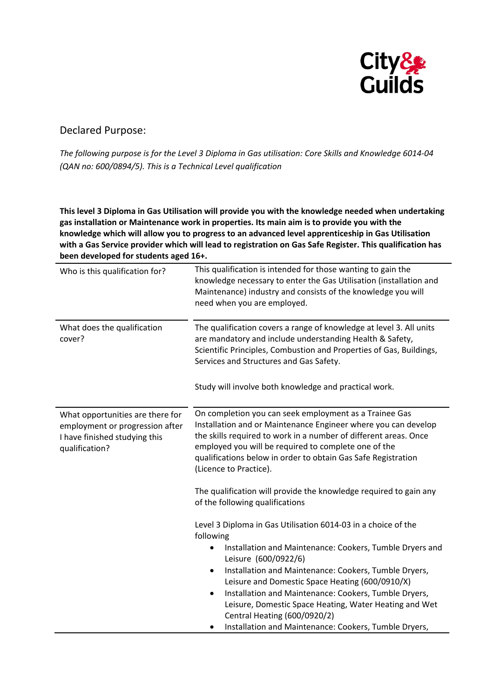

## Declared Purpose:

The following purpose is for the Level 3 Diploma in Gas utilisation: Core Skills and Knowledge 6014-04 *(QAN no: 600/0894/5). This is a Technical Level qualification*

**This level 3 Diploma in Gas Utilisation will provide you with the knowledge needed when undertaking gas installation or Maintenance work in properties. Its main aim is to provide you with the knowledge which will allow you to progress to an advanced level apprenticeship in Gas Utilisation with a Gas Service provider which will lead to registration on Gas Safe Register. This qualification has been developed for students aged 16+.**

| Who is this qualification for?                                                                                         | This qualification is intended for those wanting to gain the<br>knowledge necessary to enter the Gas Utilisation (installation and<br>Maintenance) industry and consists of the knowledge you will<br>need when you are employed.                                                                                                               |
|------------------------------------------------------------------------------------------------------------------------|-------------------------------------------------------------------------------------------------------------------------------------------------------------------------------------------------------------------------------------------------------------------------------------------------------------------------------------------------|
| What does the qualification<br>cover?                                                                                  | The qualification covers a range of knowledge at level 3. All units<br>are mandatory and include understanding Health & Safety,<br>Scientific Principles, Combustion and Properties of Gas, Buildings,<br>Services and Structures and Gas Safety.<br>Study will involve both knowledge and practical work.                                      |
|                                                                                                                        |                                                                                                                                                                                                                                                                                                                                                 |
| What opportunities are there for<br>employment or progression after<br>I have finished studying this<br>qualification? | On completion you can seek employment as a Trainee Gas<br>Installation and or Maintenance Engineer where you can develop<br>the skills required to work in a number of different areas. Once<br>employed you will be required to complete one of the<br>qualifications below in order to obtain Gas Safe Registration<br>(Licence to Practice). |
|                                                                                                                        | The qualification will provide the knowledge required to gain any<br>of the following qualifications                                                                                                                                                                                                                                            |
|                                                                                                                        | Level 3 Diploma in Gas Utilisation 6014-03 in a choice of the<br>following                                                                                                                                                                                                                                                                      |
|                                                                                                                        | Installation and Maintenance: Cookers, Tumble Dryers and<br>Leisure (600/0922/6)                                                                                                                                                                                                                                                                |
|                                                                                                                        | Installation and Maintenance: Cookers, Tumble Dryers,<br>$\bullet$<br>Leisure and Domestic Space Heating (600/0910/X)                                                                                                                                                                                                                           |
|                                                                                                                        | Installation and Maintenance: Cookers, Tumble Dryers,<br>$\bullet$<br>Leisure, Domestic Space Heating, Water Heating and Wet<br>Central Heating (600/0920/2)                                                                                                                                                                                    |
|                                                                                                                        | Installation and Maintenance: Cookers, Tumble Dryers,                                                                                                                                                                                                                                                                                           |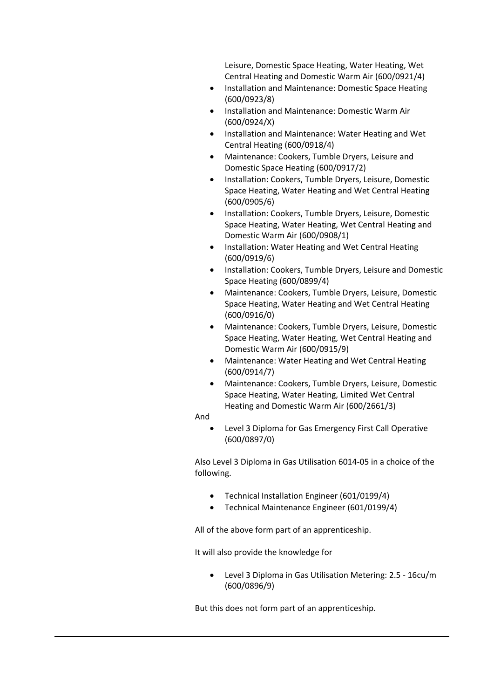Leisure, Domestic Space Heating, Water Heating, Wet Central Heating and Domestic Warm Air (600/0921/4)

- Installation and Maintenance: Domestic Space Heating (600/0923/8)
- Installation and Maintenance: Domestic Warm Air (600/0924/X)
- Installation and Maintenance: Water Heating and Wet Central Heating (600/0918/4)
- Maintenance: Cookers, Tumble Dryers, Leisure and Domestic Space Heating (600/0917/2)
- Installation: Cookers, Tumble Dryers, Leisure, Domestic Space Heating, Water Heating and Wet Central Heating (600/0905/6)
- Installation: Cookers, Tumble Dryers, Leisure, Domestic Space Heating, Water Heating, Wet Central Heating and Domestic Warm Air (600/0908/1)
- Installation: Water Heating and Wet Central Heating (600/0919/6)
- Installation: Cookers, Tumble Dryers, Leisure and Domestic Space Heating (600/0899/4)
- Maintenance: Cookers, Tumble Dryers, Leisure, Domestic Space Heating, Water Heating and Wet Central Heating (600/0916/0)
- Maintenance: Cookers, Tumble Dryers, Leisure, Domestic Space Heating, Water Heating, Wet Central Heating and Domestic Warm Air (600/0915/9)
- Maintenance: Water Heating and Wet Central Heating (600/0914/7)
- Maintenance: Cookers, Tumble Dryers, Leisure, Domestic Space Heating, Water Heating, Limited Wet Central Heating and Domestic Warm Air (600/2661/3)

And

 Level 3 Diploma for Gas Emergency First Call Operative (600/0897/0)

Also Level 3 Diploma in Gas Utilisation 6014‐05 in a choice of the following.

- Technical Installation Engineer (601/0199/4)
- Technical Maintenance Engineer (601/0199/4)

All of the above form part of an apprenticeship.

It will also provide the knowledge for

 Level 3 Diploma in Gas Utilisation Metering: 2.5 ‐ 16cu/m (600/0896/9)

But this does not form part of an apprenticeship.